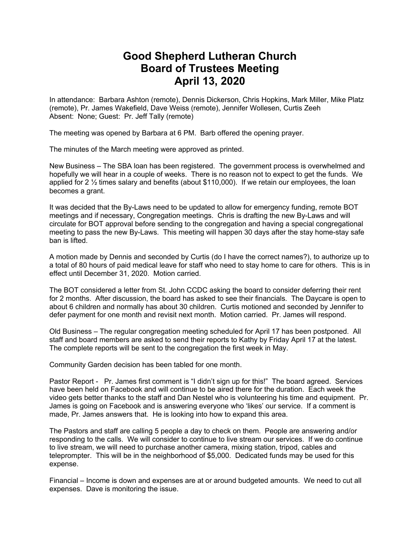## **Good Shepherd Lutheran Church Board of Trustees Meeting April 13, 2020**

In attendance: Barbara Ashton (remote), Dennis Dickerson, Chris Hopkins, Mark Miller, Mike Platz (remote), Pr. James Wakefield, Dave Weiss (remote), Jennifer Wollesen, Curtis Zeeh Absent: None; Guest: Pr. Jeff Tally (remote)

The meeting was opened by Barbara at 6 PM. Barb offered the opening prayer.

The minutes of the March meeting were approved as printed.

New Business – The SBA loan has been registered. The government process is overwhelmed and hopefully we will hear in a couple of weeks. There is no reason not to expect to get the funds. We applied for 2 ½ times salary and benefits (about \$110,000). If we retain our employees, the loan becomes a grant.

It was decided that the By-Laws need to be updated to allow for emergency funding, remote BOT meetings and if necessary, Congregation meetings. Chris is drafting the new By-Laws and will circulate for BOT approval before sending to the congregation and having a special congregational meeting to pass the new By-Laws. This meeting will happen 30 days after the stay home-stay safe ban is lifted.

A motion made by Dennis and seconded by Curtis (do I have the correct names?), to authorize up to a total of 80 hours of paid medical leave for staff who need to stay home to care for others. This is in effect until December 31, 2020. Motion carried.

The BOT considered a letter from St. John CCDC asking the board to consider deferring their rent for 2 months. After discussion, the board has asked to see their financials. The Daycare is open to about 6 children and normally has about 30 children. Curtis motioned and seconded by Jennifer to defer payment for one month and revisit next month. Motion carried. Pr. James will respond.

Old Business – The regular congregation meeting scheduled for April 17 has been postponed. All staff and board members are asked to send their reports to Kathy by Friday April 17 at the latest. The complete reports will be sent to the congregation the first week in May.

Community Garden decision has been tabled for one month.

Pastor Report - Pr. James first comment is "I didn't sign up for this!" The board agreed. Services have been held on Facebook and will continue to be aired there for the duration. Each week the video gets better thanks to the staff and Dan Nestel who is volunteering his time and equipment. Pr. James is going on Facebook and is answering everyone who 'likes' our service. If a comment is made, Pr. James answers that. He is looking into how to expand this area.

The Pastors and staff are calling 5 people a day to check on them. People are answering and/or responding to the calls. We will consider to continue to live stream our services. If we do continue to live stream, we will need to purchase another camera, mixing station, tripod, cables and teleprompter. This will be in the neighborhood of \$5,000. Dedicated funds may be used for this expense.

Financial – Income is down and expenses are at or around budgeted amounts. We need to cut all expenses. Dave is monitoring the issue.